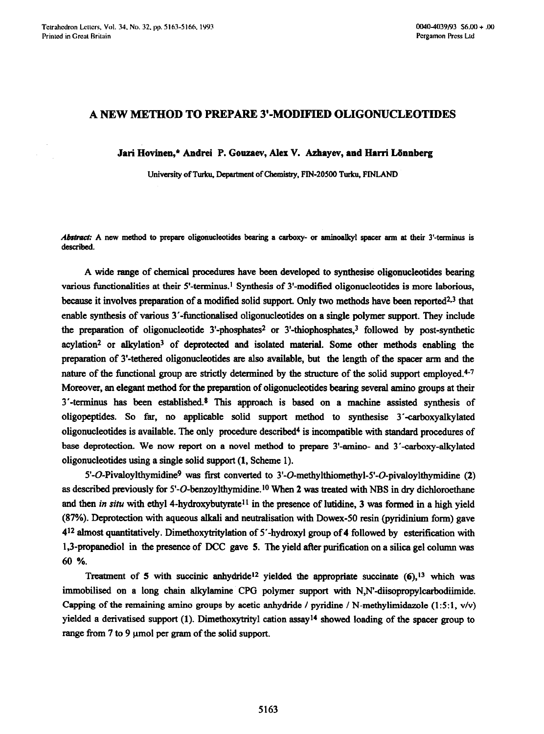## **A NEW METHOD TO PREPARE 3'-MODIFIED OLIGONUCLEOTIDES**

Jari Hovinen,\* Andrei P. Gouzaev, Alex V. Azhayev, and Harri Lönnberg

University of Turku, Department of Chemistry, FIN-20500 Turku, FINLAND

Abstract: A new method to prepare oligonucleotides bearing a carboxy- or aminoalkyl spacer arm at their 3'-terminus is **described.** 

A wide range of chemical procedures have been developed to synthesise oligonucleotides bearing various functionalities at their  $5'$ -terminus.<sup>1</sup> Synthesis of  $3'$ -modified oligonucleotides is more laborious, because it involves preparation of a modified solid support. Only two methods have been reported<sup>2,3</sup> that enable synthesis of various 3'-fimctionalised oligonucleotides on a single polymer support. They include the preparation of oligonucleotide  $3'$ -phosphates<sup>2</sup> or  $3'$ -thiophosphates,<sup>3</sup> followed by post-synthetic  $acylation<sup>2</sup>$  or alkylation<sup>3</sup> of deprotected and isolated material. Some other methods enabling the preparation of 3'-tethered oligonucleotides are also available, but the length of the spacer arm and the nature of the functional group are strictly determined by the structure of the solid support employed.<sup>4-7</sup> Moreover, an elegant method for the preparation of oligonucleotides bearing several amino groups at their 3'-termimu has been established.\* This approach is based on a machine assisted synthesis of oligopeptides. So far, no applicable solid support method to synthesise 3'-carboxyalkylated oligonucleotides is available. The only procedure described<sup>4</sup> is incompatible with standard procedures of base deprotection. We now report on a novel method to prepare 3'-amino- and 3'-carboxy-alkylated oligonucleotides using a single solid support **(1,** Scheme 1).

 $5'-O-Pivaloylthymidine<sup>9</sup>$  was first converted to  $3'-O$ -methylthiomethyl- $5'-O$ -pivaloylthymidine (2) as described previously for 5'-O-benzoylthymidine.<sup>10</sup> When 2 was treated with NBS in dry dichloroethane and then *in situ* with ethyl 4-hydroxybutyrate<sup>11</sup> in the presence of lutidine, 3 was formed in a high yield (87%). Deprotection with aqueous alkali and neutralisation with Dowex-50 resin (pyridinium form) gave 412 almost quantitatively. Dimethoxytritylation of 5'-hydroxyl group of 4 followed by esterification with 1,3-propanediol in the presence of DCC gave 5. The yield after purification on a silica gel column was 60 %.

Treatment of 5 with succinic anhydride<sup>12</sup> yielded the appropriate succinate  $(6)$ ,<sup>13</sup> which was immobilised on a long chain alkylamine CPG polymer support with N,N'-diisopropylcarbodiimide. Capping of the remaining amino groups by acetic anhydride / pyridine / N-methylimidazole  $(1:5:1, v/v)$ yielded a derivatised support **(1).** Dimethoxytrityl cation assay14 showed loading of the spacer group to range from  $7$  to  $9 \mu$ mol per gram of the solid support.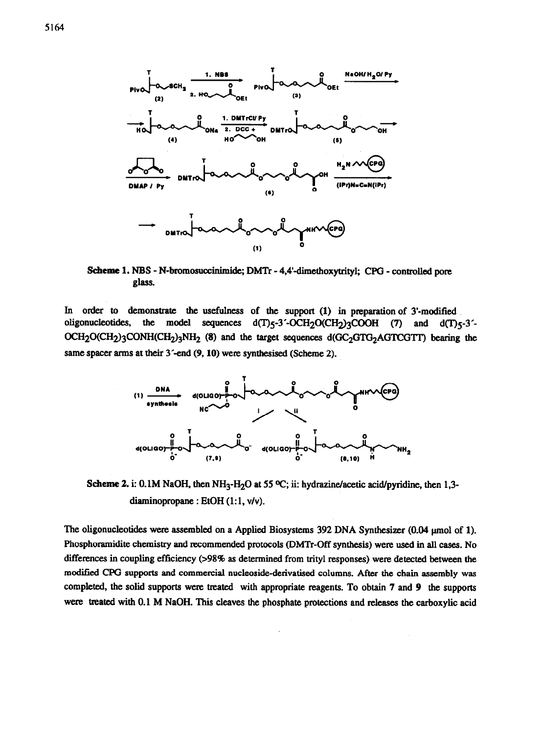

Scheme 1. NBS - N-bromosuccinimide; DMTr - 4,4'-dimethoxytrityl; CPG - controlled pore glass.

In order to demonstrate the usefulness of the support (1) in preparation of 3'-modified oligonucleotides, the model sequences  $d(T)5-3'-OCH_2O(CH_2)3COOH$  (7) and  $d(T)5-3' OCH_2O(CH_2)$ 3CONH(CH<sub>2</sub>)3NH<sub>2</sub> (8) and the target sequences d(GC<sub>2</sub>GTG<sub>2</sub>AGTCGTT) bearing the same spacer arms at their 3'-end (9, 10) were synthesised (Scheme 2).



Scheme 2. i: 0.1M NaOH, then NH<sub>3</sub>-H<sub>2</sub>O at 55 °C; ii: hydrazine/acetic acid/pyridine, then 1,3diaminopropane : EtOH (1:1, v/v).

The oligonucleotides were assembled on a Applied Biosystems 392 DNA Synthesizer (0.04 µmol of 1). Phosphoramidite chemistry and recommended protocols (DMTr-Off synthesis) were used in all cases. No differences in coupling efficiency (>98% as determined from trityl responses) were detected between the modified CPG supports and commercial nucleoside-derivatised columns. After the chain assembly was completed, the solid supports were treated with appropriate reagents. To obtain 7 and 9 the supports were treated with 0.1 M NaOH. This cleaves the phosphate protections and releases the carboxylic acid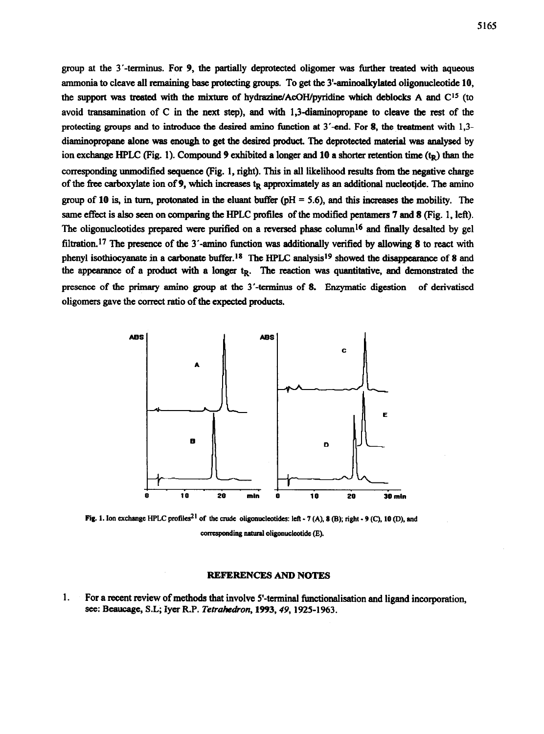group at the 3'-terminus. For 9, the partially deprotected oligomer was further treated with aqueous ammonia to cleave all remaining base protecting groups. To get the  $3'$ -aminoalkylated oligonucleotide 10, the support was treated with the mixture of hydrazine/AcOH/pyridine which deblocks A and  $C^{15}$  (to avoid transamination of C in the next step), and with 1,3-diaminopropane to cleave the rest of the protecting groups and to introduce the desired amino function at  $3'$ -end. For 8, the treatment with  $1.3$ diaminopropane alone was enough to get the desired product. The deprotected material was analysed by ion exchange HPLC (Fig. 1). Compound 9 exhibited a longer and 10 a shorter retention time  $(t_R)$  than the corresponding unmodified sequence (Fig. 1, right). This in all liieliiood results from the negative charge of the free carboxylate ion of 9, which increases  $t<sub>R</sub>$  approximately as an additional nucleotide. The amino group of 10 is, in turn, protonated in the eluant buffer ( $pH = 5.6$ ), and this increases the mobility. The same effect is also seen on comparing the HPLC profiles of the modified pentamers 7 and 8 (Fig. 1, left). The oligonucleotides prepared were purified on a reversed phase column<sup>16</sup> and finally desalted by gel filtration.<sup>17</sup> The presence of the 3'-amino function was additionally verified by allowing 8 to react with phenyl isothiocyanate in a carbonate buffer.<sup>18</sup> The HPLC analysis<sup>19</sup> showed the disappearance of 8 and the appearance of a product with a longer t<sub>R</sub>. The reaction was quantitative, and demonstrated the presence of the primary amino group at the 3'-terminus of 8. Enzymatic digestion of derivatised oligomers gave the correct ratio of the expected products.



Fig. 1. Ion exchange HPLC profiles<sup>21</sup> of the crude oligonucleotides: left - 7 (A), 8 (B); right - 9 (C), 10 (D), and **comspcmding natural oligonuclcotidc** (E).

## **REFERENCES** ANB **NOTES**

1. For a recent review of methods that involve S-terminal functionalisation and ligand incorporation, see: Beaucage, S.L; Iyer R.P. Tetrahedron, 1993, 49, 1925-1963.